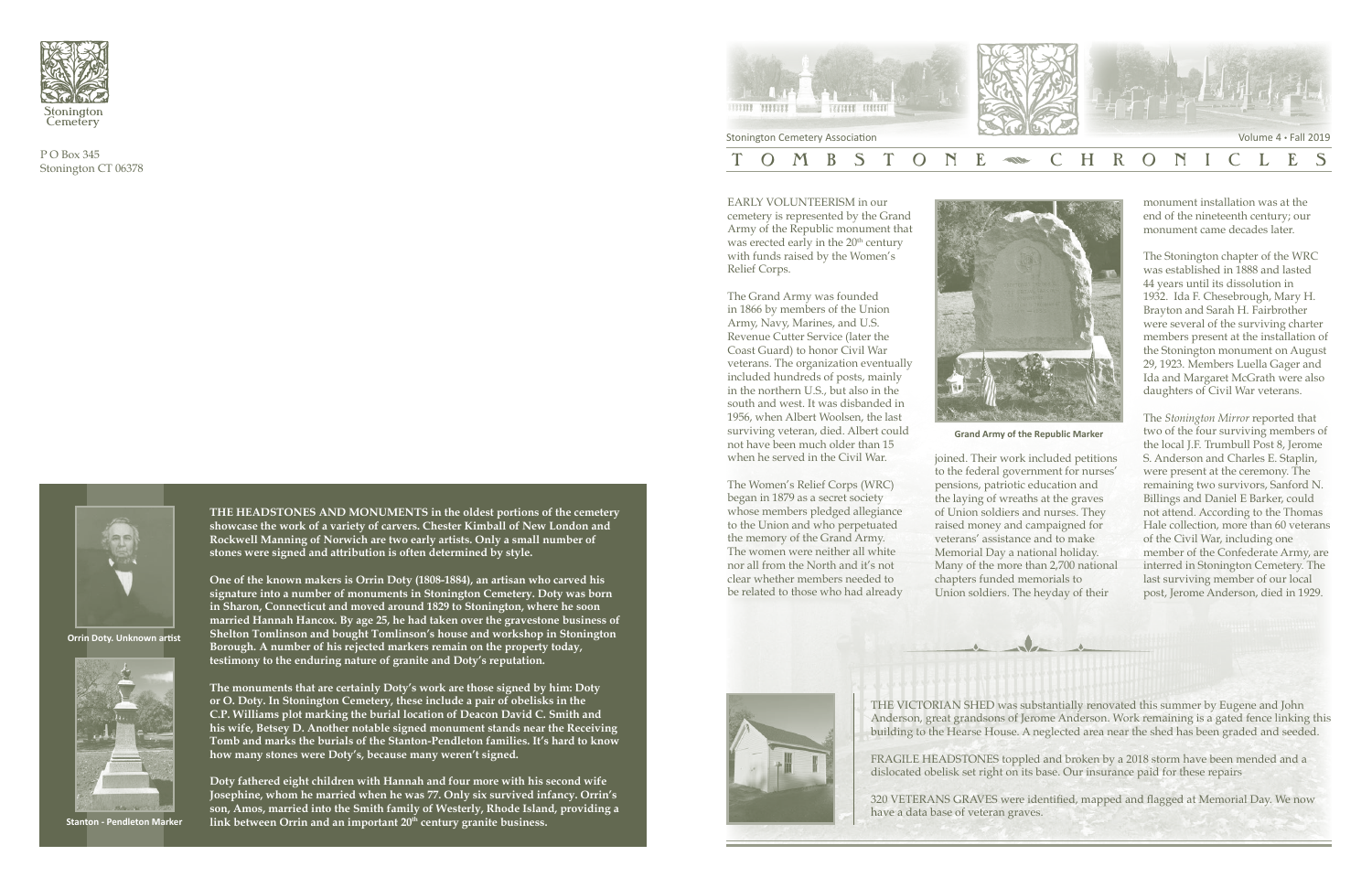

P O Box 345 Stonington CT 06378

> EARLY VOLUNTEERISM in our cemetery is represented by the Grand Army of the Republic monument that was erected early in the 20<sup>th</sup> century with funds raised by the Women's Relief Corps.

The Grand Army was founded in 1866 by members of the Union Army, Navy, Marines, and U.S. Revenue Cutter Service (later the Coast Guard) to honor Civil War veterans. The organization eventually included hundreds of posts, mainly in the northern U.S., but also in the south and west. It was disbanded in 1956, when Albert Woolsen, the last surviving veteran, died. Albert could not have been much older than 15 when he served in the Civil War.



The Women's Relief Corps (WRC) began in 1879 as a secret society whose members pledged allegiance to the Union and who perpetuated the memory of the Grand Army. The women were neither all white nor all from the North and it's not clear whether members needed to be related to those who had already



THE VICTORIAN SHED was substantially renovated this summer by Eugene and John Anderson, great grandsons of Jerome Anderson. Work remaining is a gated fence linking this building to the Hearse House. A neglected area near the shed has been graded and seeded.

FRAGILE HEADSTONES toppled and broken by a 2018 storm have been mended and a dislocated obelisk set right on its base. Our insurance paid for these repairs

320 VETERANS GRAVES were identified, mapped and flagged at Memorial Day. We now have a data base of veteran graves.

joined. Their work included petitions to the federal government for nurses' pensions, patriotic education and the laying of wreaths at the graves of Union soldiers and nurses. They raised money and campaigned for veterans' assistance and to make Memorial Day a national holiday. Many of the more than 2,700 national chapters funded memorials to Union soldiers. The heyday of their

monument installation was at the end of the nineteenth century; our monument came decades later.

The Stonington chapter of the WRC was established in 1888 and lasted 44 years until its dissolution in 1932. Ida F. Chesebrough, Mary H. Brayton and Sarah H. Fairbrother were several of the surviving charter members present at the installation of the Stonington monument on August 29, 1923. Members Luella Gager and Ida and Margaret McGrath were also daughters of Civil War veterans.

The *Stonington Mirror* reported that two of the four surviving members of the local J.F. Trumbull Post 8, Jerome S. Anderson and Charles E. Staplin, were present at the ceremony. The remaining two survivors, Sanford N. Billings and Daniel E Barker, could not attend. According to the Thomas Hale collection, more than 60 veterans of the Civil War, including one member of the Confederate Army, are interred in Stonington Cemetery. The last surviving member of our local post, Jerome Anderson, died in 1929.

**Grand Army of the Republic Marker**

**THE HEADSTONES AND MONUMENTS in the oldest portions of the cemetery showcase the work of a variety of carvers. Chester Kimball of New London and Rockwell Manning of Norwich are two early artists. Only a small number of stones were signed and attribution is often determined by style.** 

**One of the known makers is Orrin Doty (1808-1884), an artisan who carved his signature into a number of monuments in Stonington Cemetery. Doty was born in Sharon, Connecticut and moved around 1829 to Stonington, where he soon married Hannah Hancox. By age 25, he had taken over the gravestone business of Shelton Tomlinson and bought Tomlinson's house and workshop in Stonington Borough. A number of his rejected markers remain on the property today, testimony to the enduring nature of granite and Doty's reputation.**

**The monuments that are certainly Doty's work are those signed by him: Doty or O. Doty. In Stonington Cemetery, these include a pair of obelisks in the C.P. Williams plot marking the burial location of Deacon David C. Smith and his wife, Betsey D. Another notable signed monument stands near the Receiving Tomb and marks the burials of the Stanton-Pendleton families. It's hard to know how many stones were Doty's, because many weren't signed.**

**Doty fathered eight children with Hannah and four more with his second wife Josephine, whom he married when he was 77. Only six survived infancy. Orrin's son, Amos, married into the Smith family of Westerly, Rhode Island, providing a link between Orrin and an important 20th Stanton - Pendleton Marker century granite business.**





**Orrin Doty. Unknown artist**